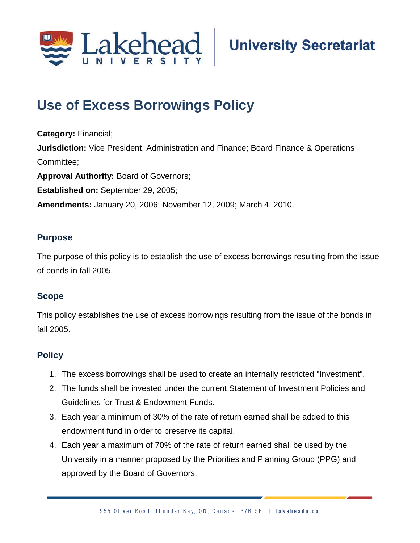

## **Use of Excess Borrowings Policy**

**Category:** Financial; **Jurisdiction:** Vice President, Administration and Finance; Board Finance & Operations Committee; **Approval Authority:** Board of Governors; **Established on:** September 29, 2005; **Amendments:** January 20, 2006; November 12, 2009; March 4, 2010.

## **Purpose**

The purpose of this policy is to establish the use of excess borrowings resulting from the issue of bonds in fall 2005.

## **Scope**

This policy establishes the use of excess borrowings resulting from the issue of the bonds in fall 2005.

## **Policy**

- 1. The excess borrowings shall be used to create an internally restricted "Investment".
- 2. The funds shall be invested under the current Statement of Investment Policies and Guidelines for Trust & Endowment Funds.
- 3. Each year a minimum of 30% of the rate of return earned shall be added to this endowment fund in order to preserve its capital.
- 4. Each year a maximum of 70% of the rate of return earned shall be used by the University in a manner proposed by the Priorities and Planning Group (PPG) and approved by the Board of Governors.